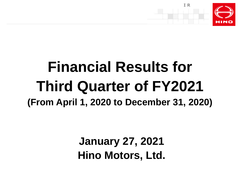

## **Financial Results for Third Quarter of FY2021 (From April 1, 2020 to December 31, 2020)**

**January 27, 2021 Hino Motors, Ltd.**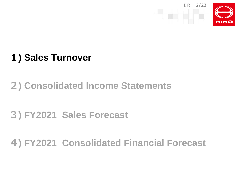

## **) Sales Turnover**

## **) Consolidated Income Statements**

## **) FY2021 Sales Forecast**

## **) FY2021 Consolidated Financial Forecast**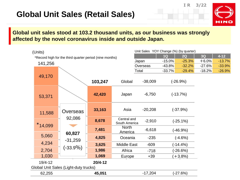#### **Global Unit Sales (Retail Sales)**





#### **Global unit sales stood at 103.2 thousand units, as our business was strongly affected by the novel coronavirus inside and outside Japan.**

| (Units)   |                                                         |         |                    | Unit Sales YOY Change (%) (by quarter) |            |             |          |          |
|-----------|---------------------------------------------------------|---------|--------------------|----------------------------------------|------------|-------------|----------|----------|
|           | *Record high for the third quarter period (nine months) |         |                    |                                        | 1Q         | 2Q          | 3Q       | $4 - 12$ |
| 141,256   |                                                         |         |                    | Japan                                  | $-15.0%$   | $-25.3%$    | $+6.0%$  | $-13.7%$ |
|           |                                                         |         |                    | Overseas                               | $-43.8%$   | $-32.2%$    | $-27.6%$ | $-33.9%$ |
|           |                                                         |         |                    | Total                                  | $-33.7%$   | $-29.4%$    | $-18.2%$ | $-26.9%$ |
| 49,170    |                                                         |         |                    |                                        |            |             |          |          |
|           |                                                         | 103,247 | Global             | $-38,009$                              |            | $(-26.9%)$  |          |          |
|           |                                                         |         |                    |                                        |            |             |          |          |
| 53,371    |                                                         | 42,420  | Japan              | $-6,750$                               |            | $(-13.7%)$  |          |          |
|           |                                                         |         |                    |                                        |            |             |          |          |
|           |                                                         |         |                    |                                        | $(-37.9%)$ |             |          |          |
| 11,588    | Overseas                                                | 33,163  | Asia               | $-20,208$                              |            |             |          |          |
|           | 92,086                                                  | 8,678   | Central and        |                                        |            |             |          |          |
| $*14,099$ |                                                         |         | South America      | $-2,910$                               |            | $(-25.1\%)$ |          |          |
|           |                                                         | 7,481   | <b>North</b>       | $-6,618$                               |            | $(-46.9%)$  |          |          |
| 5,060     | 60,827                                                  |         | America            |                                        |            |             |          |          |
|           | $-31,259$                                               | 4,825   | Oceania            | $-235$                                 |            | $(-4.6%)$   |          |          |
| 4,234     | (-33.9%)                                                | 3,625   | <b>Middle East</b> | $-609$                                 |            | $(-14.4%)$  |          |          |
| 2,704     |                                                         | 1,986   | Africa             | $-718$                                 |            | (-26.6%)    |          |          |
| 1,030     |                                                         | 1,069   | Europe             | $+39$                                  |            | $+3.8%$     |          |          |
| 19/4-12   |                                                         | 20/4-12 |                    |                                        |            |             |          |          |
|           | Global Unit Sales (Light-duty trucks)                   |         |                    |                                        |            |             |          |          |
| 62,255    |                                                         | 45,051  |                    | $-17,204$                              |            | $(-27.6%)$  |          |          |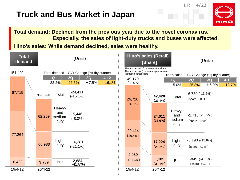#### **Truck and Bus Market in Japan**





#### **Total demand: Declined from the previous year due to the novel coronavirus. Especially, the sales of light-duty trucks and buses were affected.**

**Hino's sales: While demand declined, sales were healthy.**

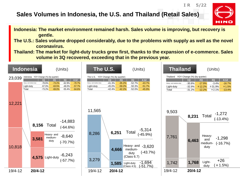#### **Sales Volumes in Indonesia, the U.S. and Thailand (Retail Sales)**



**IR 5/22**

- **Indonesia: The market environment remained harsh. Sales volume is improving, but recovery is gentle.**
- **The U.S.: Sales volume dropped considerably, due to the problems with supply as well as the novel coronavirus.**
- **Thailand: The market for light-duty trucks grew first, thanks to the expansion of e-commerce. Sales volume in 3Q recovered, exceeding that in the previous year.**

|         | Indonesia                                     | (Units)                                                                                                                                                                                                             | The U.S.<br>(Units)                                                                                                                                                                                                                                                 | <b>Thailand</b>                               | (Units)                                                                                                                                                                                                         |
|---------|-----------------------------------------------|---------------------------------------------------------------------------------------------------------------------------------------------------------------------------------------------------------------------|---------------------------------------------------------------------------------------------------------------------------------------------------------------------------------------------------------------------------------------------------------------------|-----------------------------------------------|-----------------------------------------------------------------------------------------------------------------------------------------------------------------------------------------------------------------|
| 23,039  | leavy- and medium-duty<br>Light-duty<br>Total | Indonesia YOY Change (%) (by quarter)<br>3Q<br>$4 - 12$<br>2Q<br>1Q<br>$-62.9%$<br>$-78.6%$<br>$-73.2%$<br>$-70.7%$<br>$-67.0%$<br>$-63.5%$<br>$-48.0%$<br>$-57.7%$<br>$-73.2%$<br>$-55.4%$<br>$-69.0%$<br>$-64.6%$ | The U.S. YOY Change (%) (by quarter)<br>$4 - 12$<br>3Q<br>2Q<br>1Q<br>$-43.7%$<br>$-41.3%$<br>$-35.2%$<br>$-52.7%$<br>Heavy- and medium-duty<br>$-45.0%$<br>$-59.2%$<br>$-50.3%$<br>$-51.7%$<br>Light-duty<br>Total<br>$-42.2%$<br>$-42.4%$<br>$-52.0%$<br>$-45.9%$ | Heavy- and medium-duty<br>Light-duty<br>Total | Thailand YOY Change (%) (by quarter)<br>3Q<br>$4 - 12$<br>1Q<br>2Q<br>$-30.8%$<br>$-3.4%$<br>$-17.9%$<br>$-16.7%$<br>$+12.2%$<br>$+31.9%$<br>$+1.5%$<br>$-32.9%$<br>$-12.2%$<br>$-13.4%$<br>$-31.2%$<br>$+2.1%$ |
| 12,221  | 8,156                                         | $-14,883$<br>Total<br>$(-64.6%)$                                                                                                                                                                                    | 11,565                                                                                                                                                                                                                                                              | 9,503                                         | $-1,272$<br>(-13.4%)<br>Total<br>8,231                                                                                                                                                                          |
| 10,818  | 3,581                                         | Heavy- and<br>$-8,640$<br>medium-<br>duty<br>$(-70.7%)$<br>$-6,243$                                                                                                                                                 | $-5,314$<br>$(-45.9%)$<br>Total<br>6,251<br>8,286<br>Heavy- and<br>$-3,620$<br>4,666<br>medium-<br>$(-43.7%)$<br>duty<br>(Class 6.7)                                                                                                                                | 7,761                                         | Heavy-<br>$-1,298$<br>and<br>6,463<br>$(-16.7%)$<br>medium-<br>duty                                                                                                                                             |
| 19/4-12 | $20/4 - 12$                                   | 4,575 Light-duty<br>$(-57.7%)$                                                                                                                                                                                      | 3,279<br>$-1,694$<br>1,585<br>Light-duty<br>(Class 4.5)<br>(-51.7%)<br>19/4-12<br>$20/4 - 12$                                                                                                                                                                       | 1,742<br>19/4-12                              | $+26$<br>Light-<br>1,768<br>$+1.5%$<br>duty<br>$20/4 - 12$                                                                                                                                                      |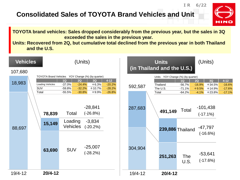#### **Consolidated Sales of TOYOTA Brand Vehicles and Unit**



**IR 6/22**

**TOYOTA brand vehicles: Sales dropped considerably from the previous year, but the sales in 3Q exceeded the sales in the previous year.**

**Units: Recovered from 2Q, but cumulative total declined from the previous year in both Thailand and the U.S.**

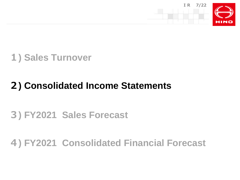



## **) Consolidated Income Statements**

## **) FY2021 Sales Forecast**

#### **) FY2021 Consolidated Financial Forecast**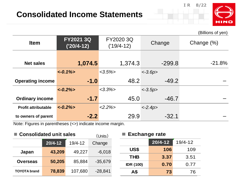



|                            |                                  |                           |            | (Billions of yen) |
|----------------------------|----------------------------------|---------------------------|------------|-------------------|
| <b>Item</b>                | <b>FY2021 3Q</b><br>$('20/4-12)$ | FY2020 3Q<br>$('19/4-12)$ | Change     | Change (%)        |
|                            |                                  |                           |            |                   |
| <b>Net sales</b>           | 1,074.5                          | 1,374.3                   | $-299.8$   | $-21.8%$          |
|                            | $\langle -0.1\% \rangle$         | $<3.5\%$                  | $< -3.6p$  |                   |
| <b>Operating income</b>    | $-1.0$                           | 48.2                      | $-49.2$    |                   |
|                            | $\langle -0.2\% \rangle$         | $<3.3\%>$                 | $<-3.5p>$  |                   |
| <b>Ordinary income</b>     | $-1.7$                           | 45.0                      | $-46.7$    |                   |
| <b>Profit attributable</b> | $\langle -0.2\% \rangle$         | $<2.2\%>$                 | $< -2.4p>$ |                   |
| to owners of parent        | $-2.2$                           | 29.9                      | $-32.1$    |                   |

Note: Figures in parentheses (<>) indicate income margin.

| <b>Consolidated unit sales</b> |                  |             | (Units)          |            | <b>Exchange rate</b> |             |  |
|--------------------------------|------------------|-------------|------------------|------------|----------------------|-------------|--|
|                                | $20/4 - 12$      | $19/4 - 12$ | Change           |            | $20/4 - 12$          | $19/4 - 12$ |  |
| Japan                          | 43,209           | 49,227      | $-6,018$         | US\$       | 106                  | 109         |  |
|                                |                  |             |                  | <b>THB</b> | 3.37                 | 3.51        |  |
| <b>Overseas</b>                | 50,205<br>85,884 | $-35,679$   | <b>IDR (100)</b> | 0.70       | 0.77                 |             |  |
| <b>TOYOTA</b> brand            | 78,839           | 107,680     | $-28,841$        | Α\$        | 73                   | 76          |  |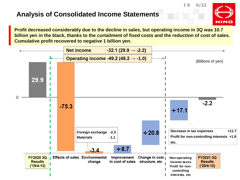#### **Analysis of Consolidated Income Statements**

**Profit decreased considerably due to the decline in sales, but operating income in 3Q was 10.7 billion yen in the black, thanks to the curtailment of fixed costs and the reduction of cost of sales. Cumulative profit recovered to negative 1 billion yen.**

**IR 9/22**

HINO

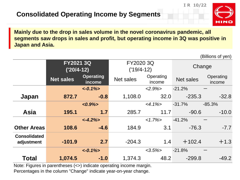

(Billions of yen)

**IR 10/22**

**Mainly due to the drop in sales volume in the novel coronavirus pandemic, all segments saw drops in sales and profit, but operating income in 3Q was positive in Japan and Asia.**

| <b>FY2021 3Q</b><br>FY2020 3Q<br>Change<br>$('19/4-12)$<br>$('20/4-12)$<br><b>Operating</b><br>Operating<br>Operating<br><b>Net sales</b><br>Net sales<br><b>Net sales</b><br>income<br><i>income</i><br>income<br>$\langle -0.1\% \rangle$<br>$<2.9\%>$<br>$-21.2%$<br>$-0.8$<br>1,108.0<br>32.0<br>$-235.3$<br>Japan<br>872.7<br>$-31.7%$<br>$<4.1\%>$<br>$-85.3%$<br>$<0.9\frac{1}{2}$<br><b>Asia</b><br>1.7<br>11.7<br>285.7<br>$-90.6$<br>195.1<br>$-41.2%$<br>$<1.7\%>$<br>$< -4.2\%$<br>3.1<br><b>Other Areas</b><br>$-4.6$<br>184.9<br>$-76.3$<br>108.6<br><b>Consolidated</b><br>2.7<br>$+102.4$<br>$-101.9$<br>$-204.3$<br>1.4<br>adjustment<br>$\langle -0.1\% \rangle$<br>$<3.5\%$<br>$-21.8%$<br><b>Total</b><br>1,374.3<br>48.2<br>$-299.8$<br>$-1.0$<br>1,074.5 |  |  |  |  | וייט טויטיייש) |  |
|--------------------------------------------------------------------------------------------------------------------------------------------------------------------------------------------------------------------------------------------------------------------------------------------------------------------------------------------------------------------------------------------------------------------------------------------------------------------------------------------------------------------------------------------------------------------------------------------------------------------------------------------------------------------------------------------------------------------------------------------------------------------------------|--|--|--|--|----------------|--|
|                                                                                                                                                                                                                                                                                                                                                                                                                                                                                                                                                                                                                                                                                                                                                                                |  |  |  |  |                |  |
|                                                                                                                                                                                                                                                                                                                                                                                                                                                                                                                                                                                                                                                                                                                                                                                |  |  |  |  |                |  |
|                                                                                                                                                                                                                                                                                                                                                                                                                                                                                                                                                                                                                                                                                                                                                                                |  |  |  |  |                |  |
|                                                                                                                                                                                                                                                                                                                                                                                                                                                                                                                                                                                                                                                                                                                                                                                |  |  |  |  | $-32.8$        |  |
|                                                                                                                                                                                                                                                                                                                                                                                                                                                                                                                                                                                                                                                                                                                                                                                |  |  |  |  |                |  |
|                                                                                                                                                                                                                                                                                                                                                                                                                                                                                                                                                                                                                                                                                                                                                                                |  |  |  |  | $-10.0$        |  |
|                                                                                                                                                                                                                                                                                                                                                                                                                                                                                                                                                                                                                                                                                                                                                                                |  |  |  |  |                |  |
|                                                                                                                                                                                                                                                                                                                                                                                                                                                                                                                                                                                                                                                                                                                                                                                |  |  |  |  | $-7.7$         |  |
|                                                                                                                                                                                                                                                                                                                                                                                                                                                                                                                                                                                                                                                                                                                                                                                |  |  |  |  | $+1.3$         |  |
|                                                                                                                                                                                                                                                                                                                                                                                                                                                                                                                                                                                                                                                                                                                                                                                |  |  |  |  |                |  |
|                                                                                                                                                                                                                                                                                                                                                                                                                                                                                                                                                                                                                                                                                                                                                                                |  |  |  |  | $-49.2$        |  |

Note: Figures in parentheses (<>) indicate operating income margin. Percentages in the column "Change" indicate year-on-year change.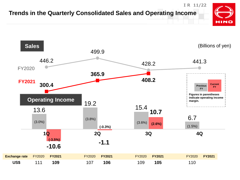

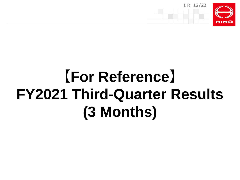

# **【For Reference】 FY2021 Third-Quarter Results (3 Months)**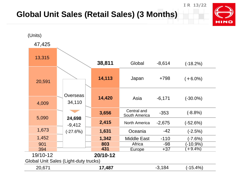#### **Global Unit Sales (Retail Sales) (3 Months)**



**IR 13/22**

**HINO**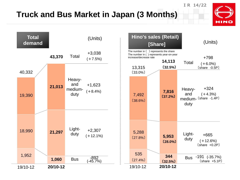#### **Truck and Bus Market in Japan (3 Months)**

**IR 14/22**



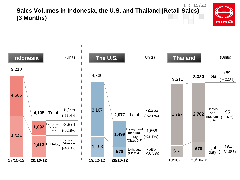#### **IR 15/22 Sales Volumes in Indonesia, the U.S. and Thailand (Retail Sales) (3 Months)**



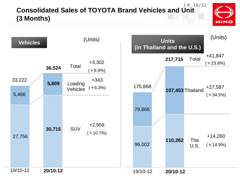#### **IR 16/22 Consolidated Sales of TOYOTA Brand Vehicles and Unit (3 Months)**



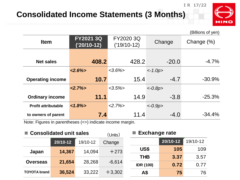#### **Consolidated Income Statements (3 Months)**



**IR 17/22**

|                                                                                                                                        |                                   |                            |           | (Billions of yen) |
|----------------------------------------------------------------------------------------------------------------------------------------|-----------------------------------|----------------------------|-----------|-------------------|
| <b>Item</b>                                                                                                                            | <b>FY2021 3Q</b><br>$('20/10-12)$ | FY2020 3Q<br>$('19/10-12)$ | Change    | Change (%)        |
|                                                                                                                                        |                                   |                            |           |                   |
| <b>Net sales</b>                                                                                                                       | 408.2                             | 428.2                      | $-20.0$   | $-4.7%$           |
|                                                                                                                                        | $<2.6\%$                          | $<3.6\%$                   | $<-1.0p>$ |                   |
| <b>Operating income</b>                                                                                                                | 10.7                              | 15.4                       | $-4.7$    | $-30.9\%$         |
|                                                                                                                                        | $<2.7\%>$                         | $<3.5\%>$                  | $<-0.8p>$ |                   |
| <b>Ordinary income</b>                                                                                                                 | 11.1                              | 14.9                       | $-3.8$    | $-25.3%$          |
| <b>Profit attributable</b>                                                                                                             | $1.8\%$                           | $2.7\%$                    | $<-0.9p>$ |                   |
| to owners of parent<br>$\mathbf{N}$ at a $\mathbf{E}$ corresponding to the second function of $\mathbf{N}$ in the second second second | 7.4                               | 11.4                       | $-4.0$    | $-34.4%$          |

Note: Figures in parentheses (<>) indicate income margin.

| ■ Consolidated unit sales |                          |        | (Units)  |                  | <b>Exchange rate</b> |          |  |
|---------------------------|--------------------------|--------|----------|------------------|----------------------|----------|--|
|                           | $20/10 - 12$<br>19/10-12 |        | Change   |                  | 20/10-12             | 19/10-12 |  |
| Japan                     | 14,367                   | 14.094 | $+273$   | US\$             | 105                  | 109      |  |
|                           |                          |        |          | <b>THB</b>       | 3.37                 | 3.57     |  |
| <b>Overseas</b>           | 21,654                   | 28,268 | $-6,614$ | <b>IDR (100)</b> | 0.72                 | 0.77     |  |
| <b>TOYOTA</b> brand       | 36,524                   | 33,222 | $+3,302$ | Α\$              | 75                   | 76       |  |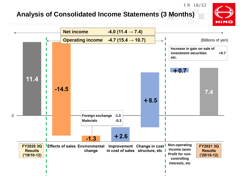#### **Analysis of Consolidated Income Statements (3 Months)**



**IR 18/22**

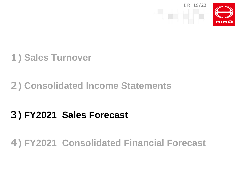



### **) Consolidated Income Statements**

## **) FY2021 Sales Forecast**

#### **) FY2021 Consolidated Financial Forecast**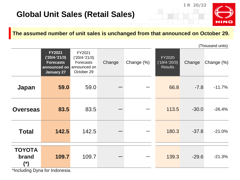**IR 20/22**



(Thousand units)

#### **The assumed number of unit sales is unchanged from that announced on October 29.**

|                               |                                                                                           |                                                                      |        |            |                                             | $\cdots$ |            |  |  |
|-------------------------------|-------------------------------------------------------------------------------------------|----------------------------------------------------------------------|--------|------------|---------------------------------------------|----------|------------|--|--|
|                               | <b>FY2021</b><br>$('20/4-'21/3)$<br><b>Forecasts</b><br>announced on<br><b>January 27</b> | FY2021<br>$('20/4-'21/3)$<br>Forecasts<br>announced on<br>October 29 | Change | Change (%) | FY2020<br>$('19/4-'20/3)$<br><b>Results</b> | Change   | Change (%) |  |  |
| Japan                         | 59.0                                                                                      | 59.0                                                                 |        |            | 66.8                                        | $-7.8$   | $-11.7%$   |  |  |
| <b>Overseas</b>               | 83.5                                                                                      | 83.5                                                                 |        |            | 113.5                                       | $-30.0$  | $-26.4%$   |  |  |
| <b>Total</b>                  | 142.5                                                                                     | 142.5                                                                |        |            | 180.3                                       | $-37.8$  | $-21.0%$   |  |  |
| <b>TOYOTA</b><br>brand<br>(*) | 109.7<br>$\star$ lisali idina. Duga faulisalanaaja                                        | 109.7                                                                |        |            | 139.3                                       | $-29.6$  | $-21.3%$   |  |  |

\*Including Dyna for Indonesia.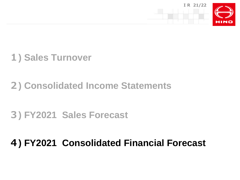



## **) Consolidated Income Statements**

## **) FY2021 Sales Forecast**

#### **) FY2021 Consolidated Financial Forecast**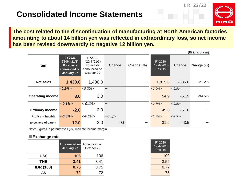#### **Consolidated Income Statements**





**The cost related to the discontinuation of manufacturing at North American factories amounting to about 14 billion yen was reflected in extraordinary loss, so net income has been revised downwardly to negative 12 billion yen.**

|                            |                                                                                    |                                                                    |           |            |                                             |           | (Billions of yen) |
|----------------------------|------------------------------------------------------------------------------------|--------------------------------------------------------------------|-----------|------------|---------------------------------------------|-----------|-------------------|
| <b>Item</b>                | <b>FY2021</b><br>$('20/4-'21/3)$<br><b>Forecasts</b><br>announced on<br>January 27 | FY2021<br>('20/4-'21/3)<br>Forecasts<br>announced on<br>October 29 | Change    | Change (%) | FY2020<br>$('19/4-'20/3)$<br><b>Results</b> | Change    | Change (%)        |
| <b>Net sales</b>           | 1,430.0                                                                            | 1,430.0                                                            |           |            | 1,815.6                                     | $-385.6$  | $-21.2%$          |
|                            | $<0.2\%$                                                                           | $<0.2\%$                                                           |           |            | $<3.0\%$                                    | $<-2.8p>$ |                   |
| <b>Operating income</b>    | 3.0                                                                                | 3.0                                                                |           |            | 54.9                                        | $-51.9$   | $-94.5%$          |
|                            | $<-0.1\%$                                                                          | $<-0.1\%$                                                          |           |            | $2.7\%>$                                    | $<-2.8p>$ |                   |
| <b>Ordinary income</b>     | $-2.0$                                                                             | $-2.0$                                                             |           |            | 49.6                                        | $-51.6$   |                   |
| <b>Profit attributable</b> | $<-0.8\%>$                                                                         | $<-0.2\%$                                                          | $<-0.6p>$ |            | $1.7\%$                                     | $<-2.5p>$ |                   |
| to owners of parent        | $-12.0$                                                                            | $-3.0$                                                             | $-9.0$    |            | 31.5                                        | $-43.5$   |                   |

Note: Figures in parentheses (<>) indicate income margin.

#### ■**Exchange rate**

|                  | Announced on Announced on<br>January 27 | October 29 | FY2020<br>$('19/4-'20/3)$<br><b>Results</b> |
|------------------|-----------------------------------------|------------|---------------------------------------------|
| US\$             | 106                                     | 106        | 109                                         |
| <b>THB</b>       | 3.41                                    | 3.41       | 3.52                                        |
| <b>IDR (100)</b> | 0.75                                    | 0.75       | 0.77                                        |
| A\$              | 72                                      | 72         | 75                                          |